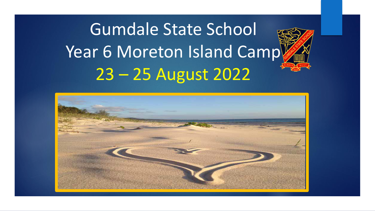# Gumdale State School Year 6 Moreton Island Camp 23 – 25 August 2022

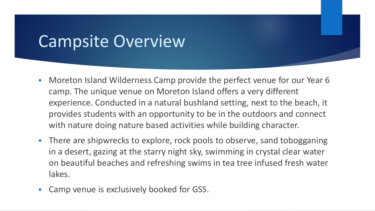## Campsite Overview

- Moreton Island Wilderness Camp provide the perfect venue for our Year 6 camp. The unique venue on Moreton Island offers a very different experience. Conducted in a natural bushland setting, next to the beach, it provides students with an opportunity to be in the outdoors and connect with nature doing nature based activities while building character.
- **There are shipwrecks to explore, rock pools to observe, sand tobogganing** in a desert, gazing at the starry night sky, swimming in crystal clear water on beautiful beaches and refreshing swims in tea tree infused fresh water lakes.
- **EXEC** Camp venue is exclusively booked for GSS.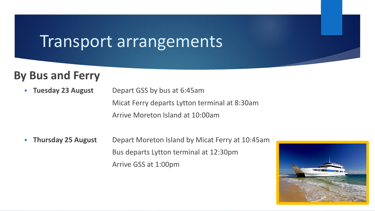### Transport arrangements

### **By Bus and Ferry**

- **Tuesday 23 August** Depart GSS by bus at 6:45am Micat Ferry departs Lytton terminal at 8:30am
	- Arrive Moreton Island at 10:00am
- **Thursday 25 August** Depart Moreton Island by Micat Ferry at 10:45am Bus departs Lytton terminal at 12:30pm Arrive GSS at 1:00pm

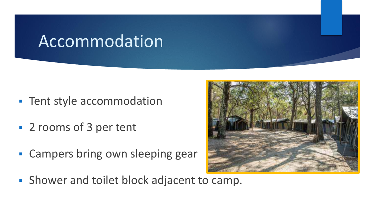## Accommodation

- Tent style accommodation
- 2 rooms of 3 per tent
- **EXAMPERS bring own sleeping gear**
- **.** Shower and toilet block adjacent to camp.

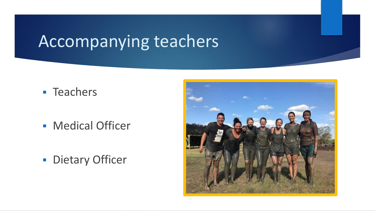# Accompanying teachers

**E** Teachers

- Medical Officer
- **Dietary Officer**

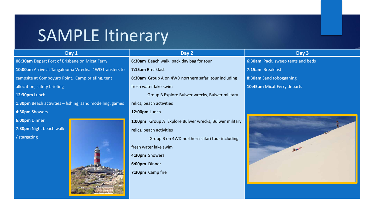### SAMPLE Itinerary

### **Day 1 Day 2 Day 3**

**08:30am** Depart Port of Brisbane on Micat Ferry **10:00am** Arrive at Tangalooma Wrecks. 4WD transfers to campsite at Comboyuro Point. Camp briefing, tent allocation, safety briefing **12:30pm** Lunch **1:30pm** Beach activities – fishing, sand modelling, games

**4:30pm** Showers

**6:00pm** Dinner

**7:30pm** Night beach walk / stargazing



### **6:30am** Beach walk, pack day bag for tour **7:15am** Breakfast **8:30am** Group A on 4WD northern safari tour including fresh water lake swim Group B Explore Bulwer wrecks, Bulwer military relics, beach activities

**12:00pm** Lunch

**1:00pm** Group A Explore Bulwer wrecks, Bulwer military relics, beach activities

Group B on 4WD northern safari tour including fresh water lake swim **4:30pm** Showers **6:00pm** Dinner **7:30pm** Camp fire

**6:30am** Pack, sweep tents and beds **7:15am** Breakfast **8:30am** Sand tobogganing **10:45am** Micat Ferry departs

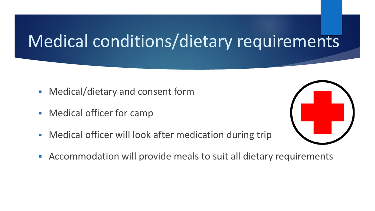# Medical conditions/dietary requirements

- Medical/dietary and consent form
- Medical officer for camp
- **EXED Wedical officer will look after medication during trip**



**EX Accommodation will provide meals to suit all dietary requirements**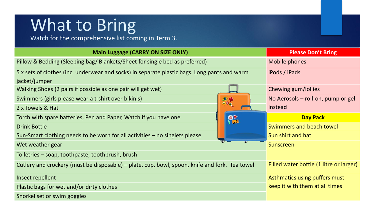# What to Bring

Watch for the comprehensive list coming in Term 3.

| <b>Main Luggage (CARRY ON SIZE ONLY)</b>                                                       |  | <b>Please Don't Bring</b>               |
|------------------------------------------------------------------------------------------------|--|-----------------------------------------|
| Pillow & Bedding (Sleeping bag/ Blankets/Sheet for single bed as preferred)                    |  | Mobile phones                           |
| 5 x sets of clothes (inc. underwear and socks) in separate plastic bags. Long pants and warm   |  | iPods / iPads                           |
| jacket/jumper                                                                                  |  |                                         |
| Walking Shoes (2 pairs if possible as one pair will get wet)                                   |  | Chewing gum/lollies                     |
| Swimmers (girls please wear a t-shirt over bikinis)                                            |  | No Aerosols - roll-on, pump or gel      |
| 2 x Towels & Hat                                                                               |  | instead                                 |
| Torch with spare batteries, Pen and Paper, Watch if you have one                               |  | <b>Day Pack</b>                         |
| <b>Drink Bottle</b>                                                                            |  | Swimmers and beach towel                |
| Sun-Smart clothing needs to be worn for all activities – no singlets please                    |  | Sun shirt and hat                       |
| Wet weather gear                                                                               |  | Sunscreen                               |
| Toiletries – soap, toothpaste, toothbrush, brush                                               |  |                                         |
| Cutlery and crockery (must be disposable) – plate, cup, bowl, spoon, knife and fork. Tea towel |  | Filled water bottle (1 litre or larger) |
| Insect repellent                                                                               |  | Asthmatics using puffers must           |
| Plastic bags for wet and/or dirty clothes                                                      |  | keep it with them at all times          |
| Snorkel set or swim goggles                                                                    |  |                                         |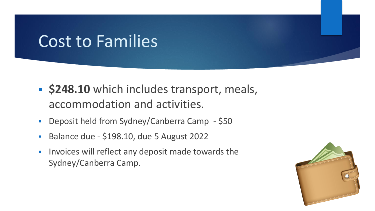## Cost to Families

- **\$248.10** which includes transport, meals, accommodation and activities.
- Deposit held from Sydney/Canberra Camp \$50
- Balance due \$198.10, due 5 August 2022
- **.** Invoices will reflect any deposit made towards the Sydney/Canberra Camp.

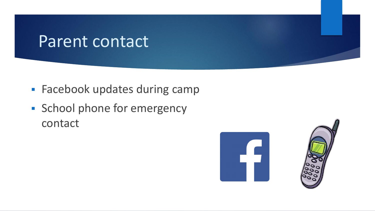### Parent contact

- **EXEC** Facebook updates during camp
- **Exercise School phone for emergency** contact